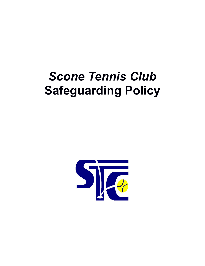# *Scone Tennis Club* **Safeguarding Policy**

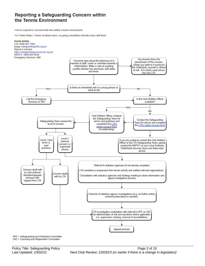## Reporting a Safeguarding Concern within the Tennis Environment

How to respond to concerns that arise within a tennis environment.

For Tennis Wales / Tennis Scotland cases, on-going consultation will take place with them.



SPC = Safeguarding and Protection Committee LRC = Licensing and Registration Committee

Policy Title: Safeguarding Policy **Provides** Page 2 of 10 Last Updated: 23/02/21 **Next Club Review: 23/03/23** (or earlier if there is a change in legislation)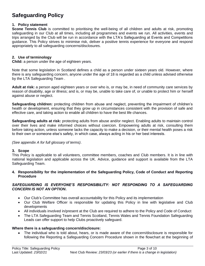# **Safeguarding Policy**

#### **1. Policy statement**

**Scone Tennis Club** is committed to prioritising the well-being of all children and adults at risk, promoting safeguarding in our Club at all times, including all programmes and events we run. All activities, events and trips arranged by the Club will be run in accordance with the LTA's Safeguarding at Events and Competitions guidance. This Policy strives to minimise risk, deliver a positive tennis experience for everyone and respond appropriately to all safeguarding concerns/disclosures.

#### **2. Use of terminology**

**Child:** a person under the age of eighteen years.

Note that some legislation in Scotland defines a child as a person under sixteen years old. However, where there is any safeguarding concern, anyone under the age of 18 is regarded as a child unless advised otherwise by the LTA Safeguarding Team .

**Adult at risk:** a person aged eighteen years or over who is, or may be, in need of community care services by reason of disability, age or illness; and is, or may be, unable to take care of, or unable to protect him or herself against abuse or neglect.

**Safeguarding children:** protecting children from abuse and neglect, preventing the impairment of children's health or development, ensuring that they grow up in circumstances consistent with the provision of safe and effective care, and taking action to enable all children to have the best life chances.

**Safeguarding adults at risk:** protecting adults from abuse and/or neglect. Enabling adults to maintain control over their lives and make informed choices without coercion. Empowering adults at risk, consulting them before taking action, unless someone lacks the capacity to make a decision, or their mental health poses a risk to their own or someone else's safety, in which case, always acting in his or her best interests.

#### *(See appendix A for full glossary of terms)*.

#### **3. Scope**

This Policy is applicable to all volunteers, committee members, coaches and Club members. It is in line with national legislation and applicable across the UK. Advice, guidance and support is available from the LTA Safeguarding Team.

#### **4. Responsibility for the implementation of the Safeguarding Policy, Code of Conduct and Reporting Procedure**

#### SAFEGUARDING IS EVERYONE'S RESPONSIBILITY: NOT RESPONDING TO A SAFEGUARDING *CONCERN IS NOT AN OPTION***.**

- Our Club's Committee has overall accountability for this Policy and its implementation
- Our Club Welfare Officer is responsible for updating this Policy in line with legislative and Club developments
- All individuals involved in/present at the Club are required to adhere to the Policy and Code of Conduct
- The LTA Safeguarding Team and Tennis Scotland, Tennis Wales and Tennis Foundation Safeguarding Leads can offer support to help Clubs proactively safeguard.

#### **Where there is a safeguarding concern/disclosure:**

• The individual who is told about, hears, or is made aware of the concern/disclosure is responsible for following the Reporting a Safeguarding Concern Procedure shown in the flowchart at the beginning of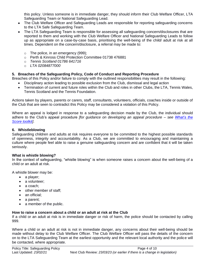this policy. Unless someone is in immediate danger, they should inform their Club Welfare Officer, LTA Safeguarding Team or National Safeguarding Lead.

- The Club Welfare Officer and Safeguarding Leads are responsible for reporting safeguarding concerns to the LTA Safe Safeguarding Team.
- The LTA Safeguarding Team is responsible for assessing all safeguarding concern/disclosures that are reported to them and working with the Club Welfare Officer and National Safeguarding Leads to follow up as appropriate on a case-by-case basis, prioritising the well-being of the child/ adult at risk at all times. Dependent on the concern/disclosure, a referral may be made to:
	- o The police, in an emergency (999);
	- o Perth & Kinross Child Protection Committee 01738 476881
	- o *Tennis Scotland 01786 641716*
	- o *LTA 02084877000*

#### **5. Breaches of the Safeguarding Policy, Code of Conduct and Reporting Procedure**

Breaches of this Policy and/or failure to comply with the outlined responsibilities may result in the following:

- Disciplinary action leading to possible exclusion from the Club, dismissal and legal action
- Termination of current and future roles within the Club and roles in other Clubs, the LTA, Tennis Wales, Tennis Scotland and the Tennis Foundation*.*

Actions taken by players, parents or carers, staff, consultants, volunteers, officials, coaches inside or outside of the Club that are seen to contradict this Policy may be considered a violation of this Policy.

Where an appeal is lodged in response to a safeguarding decision made by the Club, the individual should adhere to the Club's appeal procedure *[for guidance on developing an appeal procedure – see [What's the](http://www.lta.org.uk/safeguarding)  [Score toolkit\]](http://www.lta.org.uk/safeguarding)*.

#### **6. Whistleblowing**

Safeguarding children and adults at risk requires everyone to be committed to the highest possible standards of openness, integrity and accountability. As a Club, we are committed to encouraging and maintaining a culture where people feel able to raise a genuine safeguarding concern and are confident that it will be taken seriously.

#### **What is whistle blowing?**

In the context of safeguarding, "whistle blowing" is when someone raises a concern about the well-being of a child or an adult at risk.

A whistle blower may be:

- a player;
- a volunteer;
- a coach:
- other member of staff;
- an official:
- a parent;
- a member of the public.

#### **How to raise a concern about a child or an adult at risk at the Club**

If a child or an adult at risk is in immediate danger or risk of harm, the police should be contacted by calling 999.

Where a child or an adult at risk is not in immediate danger, any concerns about their well-being should be made without delay to the Club Welfare Officer. The Club Welfare Officer will pass the details of the concern on to the LTA Safeguarding Team at the earliest opportunity and the relevant local authority and the police will be contacted, where appropriate.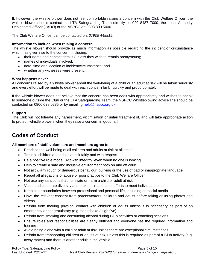If, however, the whistle blower does not feel comfortable raising a concern with the Club Welfare Officer, the whistle blower should contact the LTA Safeguarding Team directly on 020 8487 7000, the Local Authority Designated Officer (LADO) or the NSPCC on 0808 800 5000.

The Club Welfare Officer can be contacted on: *07909 448815.*

#### **Information to include when raising a concern**

The whistle blower should provide as much information as possible regarding the incident or circumstance which has given rise to the concern, including:

- their name and contact details (unless they wish to remain anonymous);
- names of individuals involved;
- date, time and location of incident/circumstance; and
- whether any witnesses were present.

#### **What happens next?**

All concerns raised by a whistle blower about the well-being of a child or an adult at risk will be taken seriously and every effort will be made to deal with each concern fairly, quickly and proportionately.

If the whistle blower does not believe that the concern has been dealt with appropriately and wishes to speak to someone outside the Club or the LTA Safeguarding Team, the NSPCC Whistleblowing advice line should be contacted on 0800 028 0285 or by emailing [help@nspcc.org.uk.](mailto:help@nspcc.org.uk)

#### **Support**

The Club will not tolerate any harassment, victimisation or unfair treatment of, and will take appropriate action to protect, whistle blowers when they raise a concern in good faith.

# **Codes of Conduct**

#### **All members of staff, volunteers and members agree to:**

- Prioritise the well-being of all children and adults at risk at all times
- Treat all children and adults at risk fairly and with respect
- Be a positive role model. Act with integrity, even when no one is looking
- Help to create a safe and inclusive environment both on and off court
- Not allow any rough or dangerous behaviour, bullying or the use of bad or inappropriate language
- Report all allegations of abuse or poor practice to the Club Welfare Officer
- Not use any sanctions that humiliate or harm a child or adult at risk
- Value and celebrate diversity and make all reasonable efforts to meet individual needs
- Keep clear boundaries between professional and personal life, including on social media
- Have the relevant consent from parents/carers, children and adults before taking or using photos and videos
- Refrain from making physical contact with children or adults unless it is necessary as part of an emergency or congratulatory (e.g. handshake / high five)
- Refrain from smoking and consuming alcohol during Club activities or coaching sessions
- Ensure roles and responsibilities are clearly outlined and everyone has the required information and training
- Avoid being alone with a child or adult at risk unless there are exceptional circumstances
- Refrain from transporting children or adults at risk, unless this is required as part of a Club activity (e.g. away match) and there is another adult in the vehicle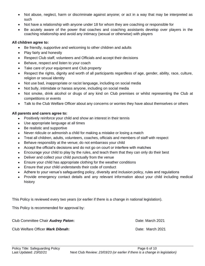- Not abuse, neglect, harm or discriminate against anyone; or act in a way that may be interpreted as such
- Not have a relationship with anyone under 18 for whom they are coaching or responsible for
- Be acutely aware of the power that coaches and coaching assistants develop over players in the coaching relationship and avoid any intimacy (sexual or otherwise) with players

#### **All children agree to:**

- Be friendly, supportive and welcoming to other children and adults
- Play fairly and honestly
- Respect Club staff, volunteers and Officials and accept their decisions
- Behave, respect and listen to your coach
- Take care of your equipment and Club property
- Respect the rights, dignity and worth of all participants regardless of age, gender, ability, race, culture, religion or sexual identity
- Not use bad, inappropriate or racist language, including on social media
- Not bully, intimidate or harass anyone, including on social media
- Not smoke, drink alcohol or drugs of any kind on Club premises or whilst representing the Club at competitions or events
- Talk to the Club Welfare Officer about any concerns or worries they have about themselves or others

#### **All parents and carers agree to:**

- Positively reinforce your child and show an interest in their tennis
- Use appropriate language at all times
- Be realistic and supportive
- Never ridicule or admonish a child for making a mistake or losing a match
- Treat all children, adults, volunteers, coaches, officials and members of staff with respect
- Behave responsibly at the venue; do not embarrass your child
- Accept the official's decisions and do not go on court or interfere with matches
- Encourage your child to play by the rules, and teach them that they can only do their best
- Deliver and collect your child punctually from the venue
- Ensure your child has appropriate clothing for the weather conditions
- Ensure that your child understands their code of conduct
- Adhere to your venue's safeguarding policy, diversity and inclusion policy, rules and regulations
- Provide emergency contact details and any relevant information about your child including medical history

This Policy is reviewed every two years (or earlier if there is a change in national legislation).

This Policy is recommended for approval by:

Club Committee Chair *Audrey Paton***:** Date: March 2021

Club Welfare Officer *Mark Dibnah***:** Date: March 2021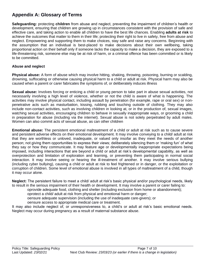## **Appendix A: Glossary of Terms**

**Safeguarding:** protecting **children** from abuse and neglect, preventing the impairment of children's health or development, ensuring that children are growing up in circumstances consistent with the provision of safe and effective care, and taking action to enable all children to have the best life chances. Enabling **adults at risk** to achieve the outcomes that matter to them in their life; protecting their right to live in safety, free from abuse and neglect. Empowering and supporting them to make choices, stay safe and raise any concerns. Beginning with the assumption that an individual is best-placed to make decisions about their own wellbeing, taking proportional action on their behalf only if someone lacks the capacity to make a decision, they are exposed to a life-threatening risk, someone else may be at risk of harm, or a criminal offence has been committed or is likely to be committed.

#### **Abuse and neglect**

**Physical abuse:** A form of abuse which may involve hitting, shaking, throwing, poisoning, burning or scalding, drowning, suffocating or otherwise causing physical harm to a child or adult at risk. Physical harm may also be caused when a parent or carer fabricates the symptoms of, or deliberately induces illness

**Sexual abuse:** Involves forcing or enticing a child or young person to take part in abuse sexual activities, not necessarily involving a high level of violence, whether or not the child is aware of what is happening. The activities may involve physical contact, including assault by penetration (for example, rape or oral sex) or nonpenetrative acts such as masturbation, kissing, rubbing and touching outside of clothing. They may also include non-contact activities, such as involving children in looking at, or in the production of, sexual images, watching sexual activities, encouraging children to behave in sexually inappropriate ways, or grooming a child in preparation for abuse (including via the internet). Sexual abuse is not solely perpetrated by adult males. Women can also commit acts of sexual abuse, as can other children

**Emotional abuse:** The persistent emotional maltreatment of a child or adult at risk such as to cause severe and persistent adverse effects on their emotional development. It may involve conveying to a child/ adult at risk that they are worthless or unloved, inadequate, or valued only insofar as they meet the needs of another person; not giving them opportunities to express their views; deliberately silencing them or 'making fun' of what they say or how they communicate. It may feature age or developmentally inappropriate expectations being imposed, including interactions that are beyond a child or adult at risk's developmental capability, as well as overprotection and limitation of exploration and learning, or preventing them participating in normal social interaction. It may involve seeing or hearing the ill-treatment of another. It may involve serious bullying (including cyber bullying), causing a child or adult at risk to feel frightened or in danger, or the exploitation or corruption of children. Some level of emotional abuse is involved in all types of maltreatment of a child, though it may occur alone.

**Neglect:** The persistent failure to meet a child/ adult at risk's basic physical and/or psychological needs, likely to result in the serious impairment of their health or development. It may involve a parent or carer failing to:

oprovide adequate food, clothing and shelter (including exclusion from home or abandonment);

oprotect a child/ adult at risk from physical and emotional harm or danger;

oensure adequate supervision (including the use of inadequate care-givers); or

oensure access to appropriate medical care or treatment.

It may also include neglect of, or unresponsiveness to, a child's or adult at risk's basic emotional needs. Neglect may occur during pregnancy as a result of maternal substance abuse.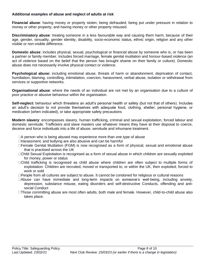#### **Additional examples of abuse and neglect of adults at risk**

**Financial abuse**: having money or property stolen; being defrauded; being put under pressure in relation to money or other property; and having money or other property misused.

**Discriminatory abuse**: treating someone in a less favourable way and causing them harm, because of their age, gender, sexuality, gender identity, disability, socio-economic status, ethnic origin, religion and any other visible or non-visible difference.

**Domestic abuse**: includes physical, sexual, psychological or financial abuse by someone who is, or has been a partner or family member. Includes forced marriage, female genital mutilation and honour-based violence (an act of violence based on the belief that the person has brought shame on their family or culture). Domestic abuse does not necessarily involve physical contact or violence.

**Psychological abuse:** including emotional abuse, threats of harm or abandonment, deprivation of contact, humiliation, blaming, controlling, intimidation, coercion, harassment, verbal abuse, isolation or withdrawal from services or supportive networks.

**Organisational abuse**: where the needs of an individual are not met by an organisation due to a culture of poor practice or abusive behaviour within the organisation.

**Self-neglect:** behaviour which threatens an adult's personal health or safety (but not that of others). Includes an adult's decision to not provide themselves with adequate food, clothing, shelter, personal hygiene, or medication (when indicated), or take appropriate safety precautions

**Modern slavery**: encompasses slavery, human trafficking, criminal and sexual exploitation, forced labour and domestic servitude. Traffickers and slave masters use whatever means they have at their disposal to coerce, deceive and force individuals into a life of abuse, servitude and inhumane treatment.

- $\Box A$  person who is being abused may experience more than one type of abuse
- □Harassment, and bullying are also abusive and can be harmful
- Female Genital Mutilation (FGM) is now recognised as a form of physical, sexual and emotional abuse that is practised across the UK
- Child Sexual Exploitation is recognised as a form of sexual abuse in which children are sexually exploited for money, power or status
- Child trafficking is recognised as child abuse where children are often subject to multiple forms of exploitation. Children are recruited, moved or transported to, or within the UK, then exploited, forced to work or sold
- □People from all cultures are subject to abuse. It cannot be condoned for religious or cultural reasons
- Abuse can have immediate and long-term impacts on someone's well-being, including anxiety, depression, substance misuse, eating disorders and self-destructive Conducts, offending and antisocial Conduct
- □Those committing abuse are most often adults, both male and female. However, child-to-child abuse also takes place.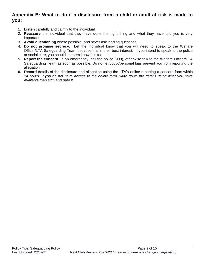## **Appendix B: What to do if a disclosure from a child or adult at risk is made to you:**

- 1. **Listen** carefully and calmly to the individual
- 2. **Reassure** the individual that they have done the right thing and what they have told you is very important
- 3. **Avoid questioning** where possible, and never ask leading questions
- 4. **Do not promise secrecy**. Let the individual know that you will need to speak to the Welfare Officer/LTA Safeguarding Team because it is in their best interest. If you intend to speak to the police or social care, you should let them know this too.
- 5. **Report the concern.** In an emergency, call the police (999), otherwise talk to the Welfare Officer/LTA Safeguarding Team as soon as possible. Do not let doubt/personal bias prevent you from reporting the allegation
- **6. Record** details of the disclosure and allegation using the LTA's online reporting a concern form within 24 hours*. If you do not have access to the online form, write down the details using what you have available then sign and date it.*